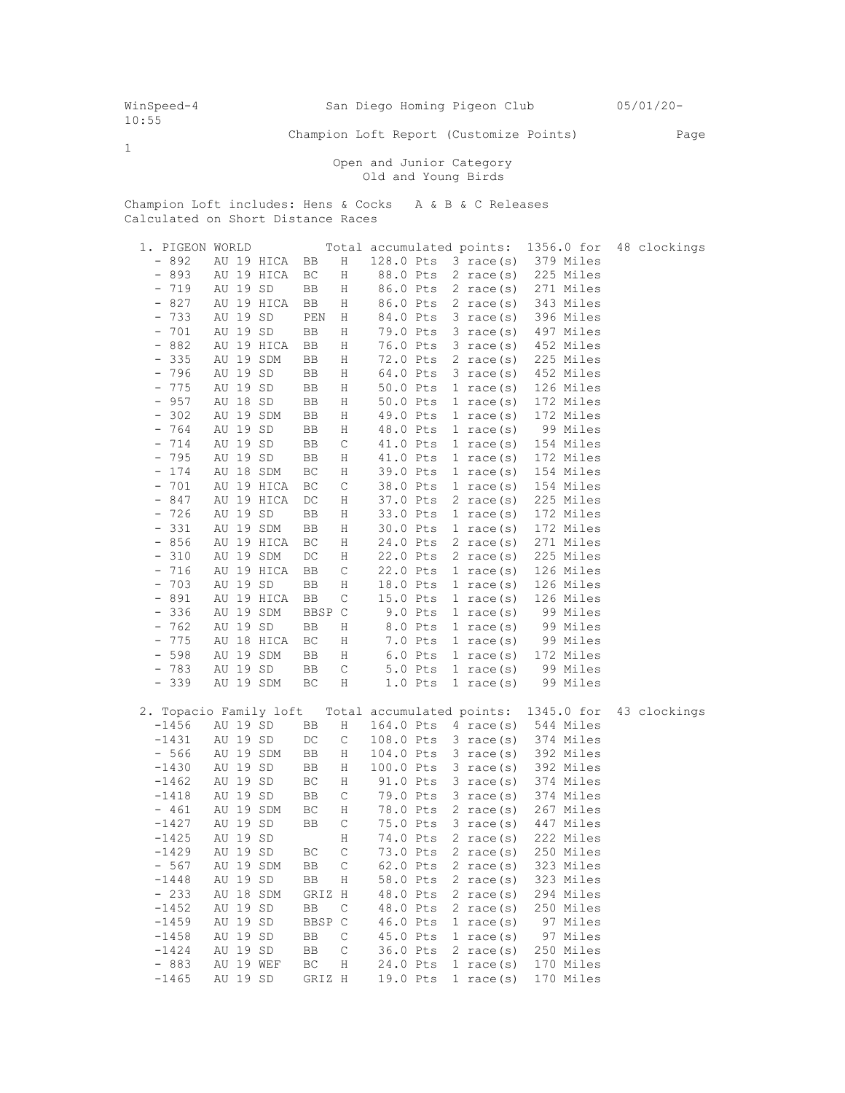1

Champion Loft Report (Customize Points) Page

 Open and Junior Category Old and Young Birds

Champion Loft includes: Hens & Cocks A & B & C Releases Calculated on Short Distance Races

| 1. PIGEON WORLD                 |            |        |             |           |           | Total accumulated points: | 1356.0 for | 48 clockings |
|---------------------------------|------------|--------|-------------|-----------|-----------|---------------------------|------------|--------------|
| $-892$                          | AU 19 HICA | BB     | Η           | 128.0 Pts |           | $3 \text{ race}(s)$       | 379 Miles  |              |
| $-893$                          | AU 19 HICA | ВC     | Η           | 88.0 Pts  |           | $2 \text{ race}(s)$       | 225 Miles  |              |
| 719<br>$\qquad \qquad =$        | AU 19 SD   | BB     | Η           | 86.0 Pts  |           | $2 \text{ race}(s)$       | 271 Miles  |              |
| $-827$                          | AU 19 HICA | BB     | Η           | 86.0 Pts  |           | 2 race(s)                 | 343 Miles  |              |
| $-733$                          | AU 19 SD   | PEN    | Η           | 84.0 Pts  |           | $3 \text{ race}(s)$       | 396 Miles  |              |
| 701<br>$\overline{\phantom{a}}$ | AU 19 SD   | BB     | Η           | 79.0 Pts  |           | $3 \text{ race}(s)$       | 497 Miles  |              |
| 882<br>$\qquad \qquad -$        | AU 19 HICA | BB     | Η           | 76.0 Pts  |           | $3 \text{ race(s)}$       | 452 Miles  |              |
| 335<br>$\overline{\phantom{a}}$ | AU 19 SDM  | BB     | Η           | 72.0 Pts  |           | 2 race $(s)$              | 225 Miles  |              |
| 796<br>$\qquad \qquad -$        | AU 19 SD   | BB     | Η           | 64.0 Pts  |           | $3 \text{ race}(s)$       | 452 Miles  |              |
| $-775$                          | AU 19 SD   | BB     | Η           | 50.0 Pts  |           | $1 \text{ race}(s)$       | 126 Miles  |              |
| 957<br>$\qquad \qquad -$        | AU 18 SD   | BB     | Η           | 50.0 Pts  |           | 1 race $(s)$              | 172 Miles  |              |
| 302<br>$\qquad \qquad -$        | AU 19 SDM  | BB     | Η           | 49.0 Pts  |           | 1 race $(s)$              | 172 Miles  |              |
| $-764$                          | AU 19 SD   | BB     | Η           | 48.0 Pts  |           | 1 race $(s)$              | 99 Miles   |              |
| $-714$                          | AU 19 SD   | BB     | C           | 41.0 Pts  |           | $1 \text{ race}(s)$       | 154 Miles  |              |
| 795<br>$\qquad \qquad =$        | AU 19 SD   | BB     | Η           | 41.0 Pts  |           | 1 race(s)                 | 172 Miles  |              |
| 174<br>$\qquad \qquad -$        | AU 18 SDM  | ВC     | Η           | 39.0 Pts  |           | 1 race $(s)$              | 154 Miles  |              |
| 701<br>$\qquad \qquad -$        | AU 19 HICA | ВC     | C           | 38.0 Pts  |           | $1 \text{ race}(s)$       | 154 Miles  |              |
| 847<br>$\qquad \qquad =$        | AU 19 HICA | DC     | Η           | 37.0 Pts  |           | $2 \text{ race}(s)$       | 225 Miles  |              |
| $-726$                          | AU 19 SD   | BB     | Η           | 33.0 Pts  |           | $1 \text{ race}(s)$       | 172 Miles  |              |
| 331<br>$-$                      | AU 19 SDM  | BB     | Η           | 30.0 Pts  |           | 1 race $(s)$              | 172 Miles  |              |
| 856<br>$\qquad \qquad =$        | AU 19 HICA | ВC     | Η           | 24.0 Pts  |           | 2 race $(s)$              | 271 Miles  |              |
| 310<br>$\qquad \qquad -$        | AU 19 SDM  | DC     | Η           | 22.0 Pts  |           | 2 race(s)                 | 225 Miles  |              |
| 716<br>$\qquad \qquad =$        | AU 19 HICA | BB     | C           | 22.0 Pts  |           | 1 race $(s)$              | 126 Miles  |              |
| 703<br>$\qquad \qquad -$        | AU 19 SD   | BB     | Η           | 18.0 Pts  |           | $1 \text{ race}(s)$       | 126 Miles  |              |
| $-891$                          | AU 19 HICA | BB     | $\mathsf C$ | 15.0 Pts  |           | $1 \text{ race}(s)$       | 126 Miles  |              |
| 336<br>$\overline{\phantom{a}}$ | AU 19 SDM  | BBSP C |             |           | $9.0$ Pts | 1 race $(s)$              | 99 Miles   |              |
| 762<br>$\overline{\phantom{a}}$ | AU 19 SD   | BB     | Η           |           | 8.0 Pts   | $1 \text{ race}(s)$       | 99 Miles   |              |
| 775<br>$\qquad \qquad -$        | AU 18 HICA | ВC     | Η           |           | 7.0 Pts   | 1 race(s)                 | 99 Miles   |              |
| 598<br>$\qquad \qquad -$        | AU 19 SDM  | BB     | Η           |           | $6.0$ Pts | $1 \text{ race}(s)$       | 172 Miles  |              |
| $-783$                          | AU 19 SD   | BB     | $\mathsf C$ |           | 5.0 Pts   | $1 \text{ race}(s)$       | 99 Miles   |              |
| $-339$                          | AU 19 SDM  | ВC     | Η           |           | 1.0 Pts   | 1 race $(s)$              | 99 Miles   |              |
|                                 |            |        |             |           |           |                           |            |              |
| 2. Topacio Family loft          |            |        |             |           |           | Total accumulated points: | 1345.0 for | 43 clockings |
| $-1456$                         | AU 19 SD   | BB     | Η           | 164.0 Pts |           | 4 race $(s)$              | 544 Miles  |              |
| $-1431$                         | AU 19 SD   | DC     | $\mathsf C$ | 108.0 Pts |           | $3 \text{ race}(s)$       | 374 Miles  |              |
| $-566$                          | AU 19 SDM  | BB     | Η           | 104.0 Pts |           | $3 \text{ race}(s)$       | 392 Miles  |              |
| $-1430$                         | AU 19 SD   | BB     | Η           | 100.0 Pts |           | $3 \text{ race}(s)$       | 392 Miles  |              |
| $-1462$                         | AU 19 SD   | ВC     | Η           | 91.0 Pts  |           | $3 \text{ race}(s)$       | 374 Miles  |              |
| $-1418$                         | AU 19 SD   | BB     | $\mathsf C$ | 79.0 Pts  |           | $3 \text{ race}(s)$       | 374 Miles  |              |
| $-461$                          | AU 19 SDM  | ВC     | Η           | 78.0 Pts  |           | 2 race $(s)$              | 267 Miles  |              |
| $-1427$                         | AU 19 SD   | BB     | $\mathsf C$ | 75.0 Pts  |           | $3 \text{ race}(s)$       | 447 Miles  |              |
| $-1425$                         | AU 19 SD   |        | Η           | 74.0 Pts  |           | $2 \text{ race}(s)$       | 222 Miles  |              |
| $-1429$                         | AU 19 SD   | ВC     | $\mathsf C$ | 73.0 Pts  |           | $2 \text{ race}(s)$       | 250 Miles  |              |
| $-567$                          | AU 19 SDM  | BB     | C           | 62.0 Pts  |           | $2 \text{ race}(s)$       | 323 Miles  |              |
| $-1448$                         | AU 19 SD   | BB     | Η           |           |           | 58.0 Pts 2 race(s)        | 323 Miles  |              |
| $-233$                          | AU 18 SDM  | GRIZ H |             | 48.0 Pts  |           | $2 \text{ race}(s)$       | 294 Miles  |              |
| $-1452$                         | AU 19 SD   | BB     | C           | 48.0 Pts  |           | 2 race $(s)$              | 250 Miles  |              |
| $-1459$                         | AU 19 SD   | BBSP C |             | 46.0 Pts  |           | 1 race $(s)$              | 97 Miles   |              |
| $-1458$                         | AU 19 SD   | BB     | $\mathsf C$ | 45.0 Pts  |           | 1 race $(s)$              | 97 Miles   |              |
| $-1424$                         | AU 19 SD   | BB     | C           | 36.0 Pts  |           | 2 race $(s)$              | 250 Miles  |              |
| $-883$                          | AU 19 WEF  | ВC     | $\rm H$     | 24.0 Pts  |           | 1 race $(s)$              | 170 Miles  |              |
| $-1465$                         | AU 19 SD   | GRIZ H |             | 19.0 Pts  |           | 1 race $(s)$              | 170 Miles  |              |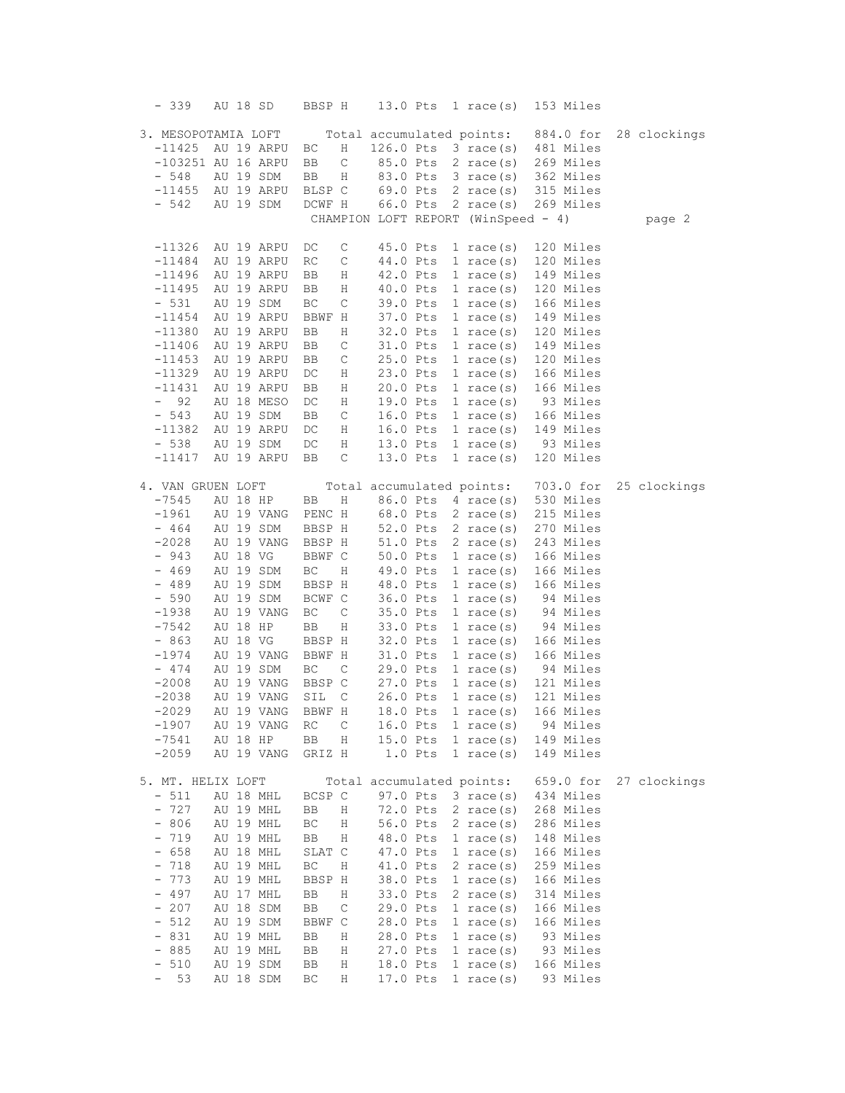| $-339$                          | AU 18 SD                           | BBSP H                             | 13.0 Pts                  | 1 race $(s)$                                   | 153 Miles              |              |
|---------------------------------|------------------------------------|------------------------------------|---------------------------|------------------------------------------------|------------------------|--------------|
|                                 |                                    |                                    |                           |                                                |                        |              |
|                                 | 3. MESOPOTAMIA LOFT                |                                    |                           | Total accumulated points:                      | 884.0 for              | 28 clockings |
| $-11425$                        | AU 19 ARPU<br>$-103251$ AU 16 ARPU | ВC<br>Η<br>$\mathsf C$<br>BB       | 85.0 Pts                  | $126.0$ Pts $3$ race(s)<br>$2 \text{ race}(s)$ | 481 Miles<br>269 Miles |              |
| $-548$                          | AU 19 SDM                          | BB<br>Η                            | 83.0 Pts                  | $3 \text{ race(s)}$                            | 362 Miles              |              |
| $-11455$                        | AU 19 ARPU                         | BLSP C                             | 69.0 Pts                  | 2 race $(s)$                                   | 315 Miles              |              |
| $-542$                          | AU 19 SDM                          | DCWF H                             | 66.0 Pts                  | 2 race $(s)$                                   | 269 Miles              |              |
|                                 |                                    |                                    |                           | CHAMPION LOFT REPORT (WinSpeed - 4)            |                        | page 2       |
|                                 |                                    |                                    |                           |                                                |                        |              |
| $-11326$                        | AU 19 ARPU                         | DC<br>C                            | 45.0 Pts                  | $1 \text{ race}(s)$                            | 120 Miles              |              |
| $-11484$                        | AU 19 ARPU                         | RC<br>$\mathsf C$                  | 44.0 Pts                  | 1 race $(s)$                                   | 120 Miles              |              |
| $-11496$                        | AU 19 ARPU                         | BB<br>Η                            | 42.0 Pts                  | $1 \text{ race}(s)$                            | 149 Miles              |              |
| $-11495$                        | AU 19 ARPU                         | Η<br>BB                            | 40.0 Pts                  | $1$ race(s)                                    | 120 Miles              |              |
| $-531$                          | AU 19 SDM                          | ВC<br>C                            | 39.0 Pts                  | $1 \text{ race}(s)$                            | 166 Miles              |              |
| $-11454$                        | AU 19 ARPU                         | BBWF H                             | 37.0 Pts                  | 1 race(s)                                      | 149 Miles              |              |
| $-11380$                        | AU 19 ARPU                         | BB<br>Η                            | 32.0 Pts                  | $1$ race(s)                                    | 120 Miles              |              |
| $-11406$                        | AU 19 ARPU                         | BB<br>C                            | 31.0 Pts                  | 1 race $(s)$                                   | 149 Miles              |              |
| $-11453$                        | AU 19 ARPU                         | C<br>BB                            | 25.0 Pts                  | 1 race $(s)$                                   | 120 Miles              |              |
| $-11329$                        | AU 19 ARPU                         | DC<br>Η                            | 23.0 Pts                  | 1 race $(s)$                                   | 166 Miles              |              |
| $-11431$                        | AU 19 ARPU                         | BB<br>Η                            | 20.0 Pts                  | $1 \text{ race}(s)$                            | 166 Miles              |              |
| 92<br>$-$                       | AU 18 MESO                         | $\mathop{\rm DC}$<br>Η             | 19.0 Pts                  | $1 \text{ race}(s)$                            | 93 Miles               |              |
| $-543$<br>$-11382$              | AU 19 SDM<br>AU 19 ARPU            | BB<br>C                            | 16.0 Pts<br>16.0 Pts      | 1 race(s)<br>$1 \text{ race}(s)$               | 166 Miles<br>149 Miles |              |
| $-538$                          | AU 19 SDM                          | DC<br>Η<br>DC<br>Η                 | 13.0 Pts                  | 1 race $(s)$                                   | 93 Miles               |              |
| $-11417$                        | AU 19 ARPU                         | BB<br>C                            | 13.0 Pts                  | 1 race(s)                                      | 120 Miles              |              |
|                                 |                                    |                                    |                           |                                                |                        |              |
| 4. VAN GRUEN LOFT               |                                    |                                    |                           | Total accumulated points:                      | 703.0 for              | 25 clockings |
| $-7545$                         | AU 18 HP                           | BB<br>Η                            | 86.0 Pts                  | 4 race(s)                                      | 530 Miles              |              |
| $-1961$                         | AU 19 VANG                         | PENC H                             | 68.0 Pts                  | 2 race $(s)$                                   | 215 Miles              |              |
| $-464$                          | AU 19 SDM                          | BBSP H                             | 52.0 Pts                  | $2 \text{ race}(s)$                            | 270 Miles              |              |
| $-2028$                         | AU 19 VANG                         | BBSP H                             | 51.0 Pts                  | $2 \text{ race}(s)$                            | 243 Miles              |              |
| $-943$                          | AU 18 VG                           | BBWF C                             | 50.0 Pts                  | 1 race(s)                                      | 166 Miles              |              |
| $-469$                          | AU 19 SDM                          | $\operatorname{BC}$<br>Η           | 49.0 Pts                  | 1 race $(s)$                                   | 166 Miles              |              |
| $-489$                          | AU 19 SDM                          | BBSP H                             | 48.0 Pts                  | $1$ race(s)                                    | 166 Miles              |              |
| $-590$                          | AU 19 SDM                          | BCWF C                             | 36.0 Pts                  | $1 \text{ race}(s)$                            | 94 Miles               |              |
| $-1938$                         | AU 19 VANG                         | ВC<br>C                            | 35.0 Pts                  | 1 race $(s)$                                   | 94 Miles               |              |
| $-7542$                         | AU 18 HP                           | BB<br>Η                            | 33.0 Pts                  | $1 \text{ race}(s)$                            | 94 Miles               |              |
| $-863$                          | AU 18 VG                           | BBSP H                             | 32.0 Pts                  | 1 race(s)                                      | 166 Miles              |              |
| $-1974$                         | AU 19 VANG                         | BBWF H                             | 31.0 Pts                  | $1 \text{ race}(s)$                            | 166 Miles              |              |
| $-474$                          | AU 19 SDM                          | $\operatorname{BC}$<br>$\mathsf C$ | 29.0 Pts                  | 1 race $(s)$                                   | 94 Miles               |              |
| $-2008$                         | AU 19 VANG                         | BBSP C                             | 27.0 Pts                  | 1 race(s)                                      | 121 Miles              |              |
| $-2038$                         | AU 19 VANG                         | SIL<br>C                           | 26.0 Pts                  | $1 \text{ race}(s)$                            | 121 Miles              |              |
| $-2029$                         | AU 19 VANG                         | BBWF H                             | 18.0 Pts                  | 1 race $(s)$                                   | 166 Miles              |              |
| $-1907$                         | AU 19 VANG                         | RC<br>C                            | 16.0 Pts<br>15.0 Pts      | 1 race $(s)$                                   | 94 Miles               |              |
| $-7541$<br>$-2059$              | AU 18 HP<br>AU 19 VANG             | BB<br>Η<br>GRIZ H                  | $1.0$ Pts                 | 1 race $(s)$<br>1 race $(s)$                   | 149 Miles<br>149 Miles |              |
|                                 |                                    |                                    |                           |                                                |                        |              |
| 5. MT. HELIX LOFT               |                                    |                                    | Total accumulated points: |                                                | 659.0 for              | 27 clockings |
| $-511$                          | AU 18 MHL                          | BCSP C                             | 97.0 Pts                  | $3 \text{ race}(s)$                            | 434 Miles              |              |
| 727<br>$\qquad \qquad -$        | AU 19 MHL                          | BB<br>Η                            | 72.0 Pts                  | $2 \text{ race(s)}$                            | 268 Miles              |              |
| 806<br>$\overline{\phantom{a}}$ | AU 19 MHL                          | ВC<br>Η                            | 56.0 Pts                  | $2 \text{ race}(s)$                            | 286 Miles              |              |
| 719<br>$\qquad \qquad -$        | AU 19 MHL                          | ВB<br>Η                            | 48.0 Pts                  | 1 race $(s)$                                   | 148 Miles              |              |
| 658<br>$\qquad \qquad -$        | AU 18 MHL                          | SLAT C                             | 47.0 Pts                  | 1 race $(s)$                                   | 166 Miles              |              |
| 718<br>$\qquad \qquad -$        | AU 19 MHL                          | $\operatorname{BC}$<br>Η           | 41.0 Pts                  | $2 \text{ race}(s)$                            | 259 Miles              |              |
| 773                             | AU 19 MHL                          | BBSP H                             | 38.0 Pts                  | $1 \text{ race}(s)$                            | 166 Miles              |              |
| 497<br>$\qquad \qquad -$        | AU 17 MHL                          | BB<br>Η                            | 33.0 Pts                  | $2 \text{ race}(s)$                            | 314 Miles              |              |
| 207<br>$\qquad \qquad -$        | AU 18 SDM                          | BB<br>$\mathsf C$                  | 29.0 Pts                  | 1 race $(s)$                                   | 166 Miles              |              |
| 512<br>$\qquad \qquad -$        | AU 19 SDM                          | BBWF C                             | 28.0 Pts                  | 1 race $(s)$                                   | 166 Miles              |              |
| 831<br>$\qquad \qquad -$        | AU 19 MHL                          | ВB<br>Η                            | 28.0 Pts                  | 1 race $(s)$                                   | 93 Miles               |              |
| 885<br>$\qquad \qquad -$        | AU 19 MHL                          | BB<br>Η                            | 27.0 Pts                  | $1$ race(s)                                    | 93 Miles               |              |
| 510<br>$\qquad \qquad -$        | AU 19 SDM                          | BB<br>Η                            | 18.0 Pts                  | 1 race $(s)$                                   | 166 Miles              |              |
| 53                              | AU 18 SDM                          | ВC<br>Η                            | 17.0 Pts                  | 1 race $(s)$                                   | 93 Miles               |              |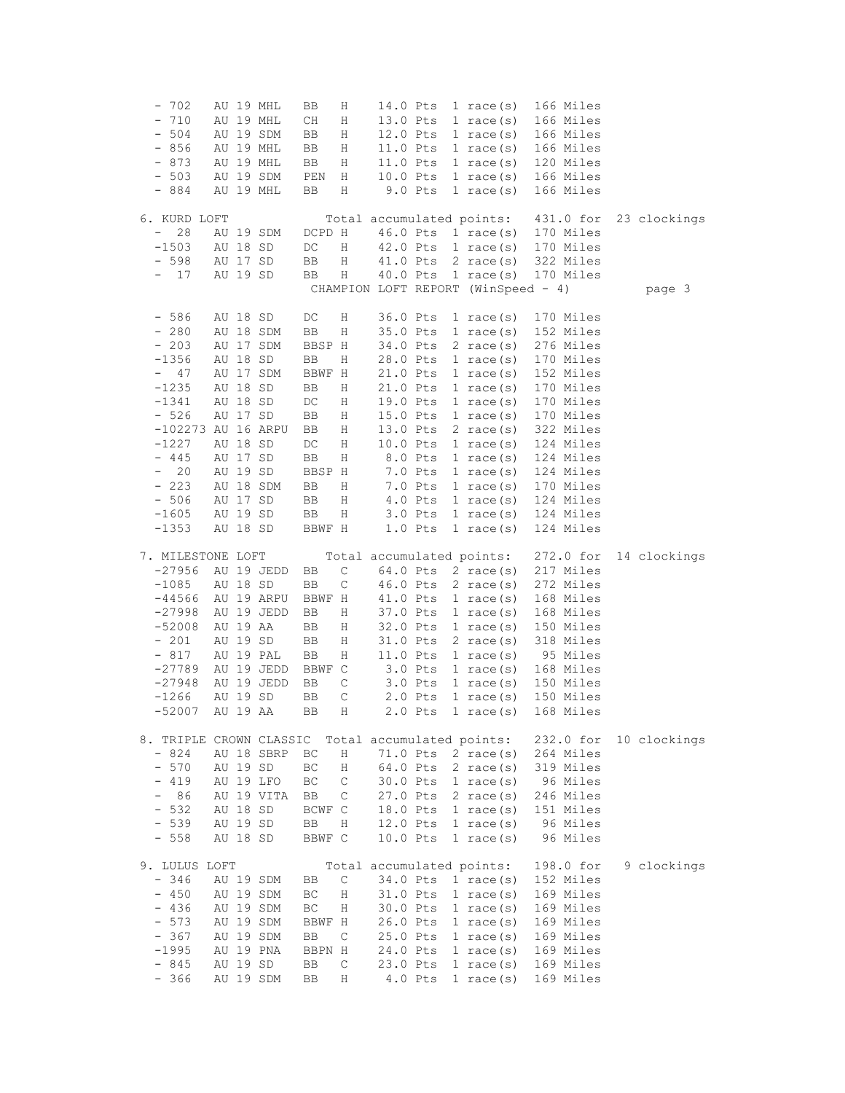| $-702$                          |          | AU 19 MHL  | BB       | Η                | 14.0 Pts                            |           | 1 race $(s)$                 |  | 166 Miles              |              |
|---------------------------------|----------|------------|----------|------------------|-------------------------------------|-----------|------------------------------|--|------------------------|--------------|
| $-710$                          |          | AU 19 MHL  | CН       | Η                | 13.0 Pts                            |           | 1 race $(s)$                 |  | 166 Miles              |              |
| 504                             |          | AU 19 SDM  | BB       | Η                | 12.0 Pts                            |           | $1 \text{ race}(s)$          |  | 166 Miles              |              |
| 856<br>-                        |          | AU 19 MHL  | BB       | Η                | 11.0 Pts                            |           | $1 \text{ race}(s)$          |  | 166 Miles              |              |
| $-873$                          |          | AU 19 MHL  | BB       | Η                | 11.0 Pts                            |           | $1 \text{ race}(s)$          |  | 120 Miles              |              |
| $-503$                          |          | AU 19 SDM  | PEN      | Η                | 10.0 Pts                            |           | $1 \text{ race}(s)$          |  | 166 Miles              |              |
| $-884$                          |          | AU 19 MHL  | BB       | Η                |                                     | $9.0$ Pts | 1 race $(s)$                 |  | 166 Miles              |              |
|                                 |          |            |          |                  |                                     |           |                              |  |                        |              |
| 6. KURD LOFT                    |          |            |          |                  | Total accumulated points:           |           |                              |  | 431.0 for              | 23 clockings |
| 28<br>-                         |          | AU 19 SDM  | DCPD H   |                  | 46.0 Pts                            |           | $1 \text{ race}(s)$          |  | 170 Miles              |              |
| $-1503$                         | AU 18 SD |            | DC       | Η                | 42.0 Pts                            |           | 1 race $(s)$                 |  | 170 Miles              |              |
| $-598$                          | AU 17 SD |            | BB       | Η                | 41.0 Pts                            |           | $2 \text{ race}(s)$          |  | 322 Miles              |              |
| 17                              | AU 19 SD |            | BB       | Η                | 40.0 Pts                            |           | 1 race $(s)$                 |  | 170 Miles              |              |
|                                 |          |            |          |                  | CHAMPION LOFT REPORT (WinSpeed - 4) |           |                              |  |                        | page 3       |
|                                 |          |            |          |                  |                                     |           |                              |  |                        |              |
| $-586$                          | AU 18 SD |            | DC       | Η                | 36.0 Pts                            |           | 1 race $(s)$                 |  | 170 Miles              |              |
| $-280$                          |          | AU 18 SDM  | BB       | Η                | 35.0 Pts                            |           | 1 race $(s)$                 |  | 152 Miles              |              |
| $-203$                          |          | AU 17 SDM  | BBSP H   |                  | 34.0 Pts                            |           | $2 \text{ race}(s)$          |  | 276 Miles              |              |
| $-1356$                         | AU 18 SD |            | BB       | Η                | 28.0 Pts                            |           | $1$ race(s)                  |  | 170 Miles              |              |
| 47<br>$-$                       |          | AU 17 SDM  | BBWF H   |                  | 21.0 Pts                            |           | 1 race $(s)$                 |  | 152 Miles              |              |
| $-1235$                         | AU 18 SD |            | BB       | Η                | 21.0 Pts                            |           | 1 race $(s)$                 |  | 170 Miles              |              |
| $-1341$                         | AU 18 SD |            | DC       | Η                | 19.0 Pts                            |           | 1 race $(s)$                 |  | 170 Miles              |              |
| $-526$                          | AU 17 SD |            | BB       | Η                | 15.0 Pts                            |           | $1 \text{ race}(s)$          |  | 170 Miles              |              |
| -102273 AU 16 ARPU              |          |            | BB       | Η                | 13.0 Pts                            |           | $2 \text{ race(s)}$          |  | 322 Miles              |              |
| $-1227$                         | AU 18 SD |            | DC       | Η                | 10.0 Pts                            |           | $1 \text{ race}(s)$          |  | 124 Miles              |              |
| $-445$                          | AU 17 SD |            | BB       | Η                |                                     | 8.0 Pts   | 1 race $(s)$                 |  | 124 Miles              |              |
| 20<br>$\qquad \qquad -$         | AU 19 SD |            | BBSP H   |                  |                                     | 7.0 Pts   | 1 race $(s)$                 |  | 124 Miles              |              |
| $-223$                          |          | AU 18 SDM  | BB       | Η                |                                     | 7.0 Pts   | $1 \text{ race}(s)$          |  | 170 Miles              |              |
| $-506$                          | AU 17 SD |            | BB       | Η                |                                     | 4.0 Pts   | $1 \text{ race}(s)$          |  | 124 Miles              |              |
| $-1605$                         | AU 19 SD |            | BB       | Η                |                                     | $3.0$ Pts | $1 \text{ race}(s)$          |  | 124 Miles              |              |
| $-1353$                         | AU 18 SD |            | BBWF H   |                  |                                     | $1.0$ Pts |                              |  | 124 Miles              |              |
|                                 |          |            |          |                  |                                     |           | 1 race $(s)$                 |  |                        |              |
|                                 |          |            |          |                  |                                     |           |                              |  |                        |              |
| 7. MILESTONE LOFT               |          |            |          |                  | Total accumulated points:           |           |                              |  | 272.0 for              | 14 clockings |
| $-27956$                        |          | AU 19 JEDD | BB       | $\mathsf C$      | 64.0 Pts                            |           | 2 race $(s)$                 |  | 217 Miles              |              |
| $-1085$                         | AU 18 SD |            | BB       | $\mathsf C$      | 46.0 Pts                            |           | 2 race $(s)$                 |  | 272 Miles              |              |
| $-44566$                        |          | AU 19 ARPU | BBWF H   |                  | 41.0 Pts                            |           | 1 race $(s)$                 |  | 168 Miles              |              |
| $-27998$                        |          | AU 19 JEDD | BB       | Η                | 37.0 Pts                            |           | $1$ race(s)                  |  | 168 Miles              |              |
| $-52008$                        | AU 19 AA |            | BB       | Η                | 32.0 Pts                            |           | 1 race $(s)$                 |  | 150 Miles              |              |
| $-201$                          | AU 19 SD |            | BB       | Η                | 31.0 Pts                            |           | 2 race $(s)$                 |  | 318 Miles              |              |
| $-817$                          |          | AU 19 PAL  | BB       | Η                | 11.0 Pts                            |           | 1 race $(s)$                 |  | 95 Miles               |              |
| $-27789$                        |          | AU 19 JEDD | BBWF C   |                  |                                     | $3.0$ Pts | 1 race $(s)$                 |  | 168 Miles              |              |
| $-27948$                        |          | AU 19 JEDD | BB       | C                |                                     | $3.0$ Pts | 1 race $(s)$                 |  | 150 Miles              |              |
| $-1266$                         | AU 19 SD |            | BB       | С                |                                     | $2.0$ Pts | 1 race $(s)$                 |  | 150 Miles              |              |
| $-52007$                        | AU 19 AA |            | ВB       | Η                |                                     | $2.0$ Pts | 1 race $(s)$                 |  | 168 Miles              |              |
|                                 |          |            |          |                  |                                     |           |                              |  |                        |              |
| 8. TRIPLE CROWN CLASSIC         |          |            |          |                  | Total accumulated points:           |           |                              |  | 232.0 for              | 10 clockings |
| $-824$                          |          | AU 18 SBRP | ВC       | Η                | 71.0 Pts                            |           | 2 race $(s)$                 |  | 264 Miles              |              |
| $-570$                          | AU 19 SD |            | ВC       | Η                | 64.0 Pts                            |           | $2 \text{ race}(s)$          |  | 319 Miles              |              |
| $-419$                          |          | AU 19 LFO  | ВC       | С                | 30.0 Pts                            |           | 1 race $(s)$                 |  | 96 Miles               |              |
| 86<br>$\qquad \qquad -$         |          | AU 19 VITA | BB       | С                | 27.0 Pts                            |           | $2 \text{ race}(s)$          |  | 246 Miles              |              |
| 532<br>$\qquad \qquad -$        | AU 18 SD |            | BCWF C   |                  | 18.0 Pts                            |           | 1 race $(s)$                 |  | 151 Miles              |              |
| 539<br>$\overline{\phantom{0}}$ | AU 19 SD |            | BB       | Η                | 12.0 Pts                            |           | $1 \text{ race}(s)$          |  | 96 Miles               |              |
| $-558$                          | AU 18 SD |            | BBWF C   |                  | 10.0 Pts                            |           | 1 race $(s)$                 |  | 96 Miles               |              |
|                                 |          |            |          |                  |                                     |           |                              |  |                        |              |
| 9. LULUS LOFT                   |          |            |          |                  | Total accumulated points:           |           |                              |  | 198.0 for              | 9 clockings  |
| $-346$                          |          | AU 19 SDM  | BB       | С                | 34.0 Pts                            |           | 1 race $(s)$                 |  | 152 Miles              |              |
| $-450$                          |          | AU 19 SDM  | ВC       | Η                | 31.0 Pts                            |           | $1 \text{ race}(s)$          |  | 169 Miles              |              |
| $-436$                          |          | AU 19 SDM  | BC       | Η                | 30.0 Pts                            |           | 1 race $(s)$                 |  | 169 Miles              |              |
| $-573$                          |          | AU 19 SDM  | BBWF H   |                  | 26.0 Pts                            |           | 1 race $(s)$                 |  | 169 Miles              |              |
| $-367$                          |          | AU 19 SDM  | BB       | C                | 25.0 Pts                            |           | 1 race $(s)$                 |  | 169 Miles              |              |
| $-1995$                         |          | AU 19 PNA  | BBPN H   |                  | 24.0 Pts                            |           | 1 race $(s)$                 |  | 169 Miles              |              |
| $-845$<br>$-366$                | AU 19 SD | AU 19 SDM  | BB<br>BB | $\mathsf C$<br>Η | 23.0 Pts                            | 4.0 Pts   | 1 race $(s)$<br>1 race $(s)$ |  | 169 Miles<br>169 Miles |              |